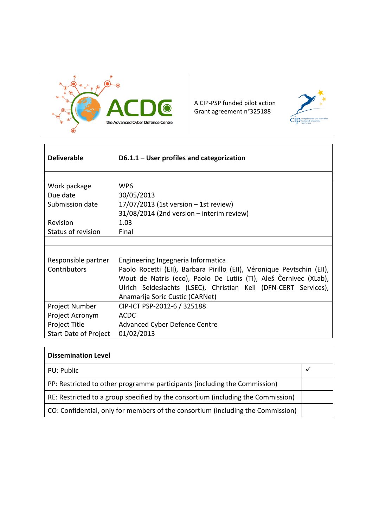

A CIP-PSP funded pilot action Grant agreement n°325188



| <b>Deliverable</b>           | $D6.1.1 -$ User profiles and categorization                            |
|------------------------------|------------------------------------------------------------------------|
|                              |                                                                        |
| Work package                 | WP <sub>6</sub>                                                        |
| Due date                     | 30/05/2013                                                             |
| Submission date              | 17/07/2013 (1st version - 1st review)                                  |
|                              | 31/08/2014 (2nd version - interim review)                              |
| Revision                     | 1.03                                                                   |
| Status of revision           | Final                                                                  |
|                              |                                                                        |
|                              |                                                                        |
| Responsible partner          | Engineering Ingegneria Informatica                                     |
| Contributors                 | Paolo Rocetti (EII), Barbara Pirillo (EII), Véronique Pevtschin (EII), |
|                              | Wout de Natris (eco), Paolo De Lutiis (TI), Aleš Černivec (XLab),      |
|                              | Ulrich Seldeslachts (LSEC), Christian Keil (DFN-CERT Services),        |
|                              | Anamarija Soric Custic (CARNet)                                        |
| Project Number               | CIP-ICT PSP-2012-6 / 325188                                            |
| Project Acronym              | <b>ACDC</b>                                                            |
| Project Title                | Advanced Cyber Defence Centre                                          |
| <b>Start Date of Project</b> | 01/02/2013                                                             |

| <b>Dissemination Level</b>                                                       |  |  |
|----------------------------------------------------------------------------------|--|--|
| PU: Public                                                                       |  |  |
| PP: Restricted to other programme participants (including the Commission)        |  |  |
| RE: Restricted to a group specified by the consortium (including the Commission) |  |  |
| CO: Confidential, only for members of the consortium (including the Commission)  |  |  |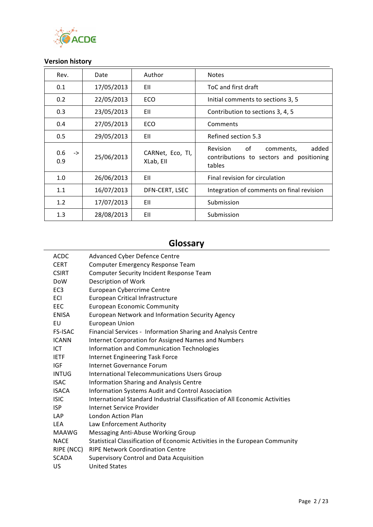

## **Version history**

| Rev.                        | Date       | Author                        | <b>Notes</b>                                                                                      |
|-----------------------------|------------|-------------------------------|---------------------------------------------------------------------------------------------------|
| 0.1                         | 17/05/2013 | EII                           | ToC and first draft                                                                               |
| 0.2                         | 22/05/2013 | ECO                           | Initial comments to sections 3, 5                                                                 |
| 0.3                         | 23/05/2013 | EII                           | Contribution to sections 3, 4, 5                                                                  |
| 0.4                         | 27/05/2013 | ECO                           | Comments                                                                                          |
| 0.5                         | 29/05/2013 | EII                           | Refined section 5.3                                                                               |
| 0.6<br>$\rightarrow$<br>0.9 | 25/06/2013 | CARNet, Eco, TI,<br>XLab, Ell | <b>Revision</b><br>added<br>of<br>comments,<br>contributions to sectors and positioning<br>tables |
| 1.0                         | 26/06/2013 | EII                           | Final revision for circulation                                                                    |
| 1.1                         | 16/07/2013 | DFN-CERT, LSEC                | Integration of comments on final revision                                                         |
| 1.2                         | 17/07/2013 | EII                           | Submission                                                                                        |
| 1.3                         | 28/08/2013 | EII                           | Submission                                                                                        |

# **Glossary**

| <b>ACDC</b>     | <b>Advanced Cyber Defence Centre</b>                                        |
|-----------------|-----------------------------------------------------------------------------|
| <b>CERT</b>     | Computer Emergency Response Team                                            |
| <b>CSIRT</b>    | Computer Security Incident Response Team                                    |
| <b>DoW</b>      | Description of Work                                                         |
| EC <sub>3</sub> | European Cybercrime Centre                                                  |
| ECI             | European Critical Infrastructure                                            |
| <b>EEC</b>      | <b>European Economic Community</b>                                          |
| ENISA           | European Network and Information Security Agency                            |
| EU              | <b>European Union</b>                                                       |
| <b>FS-ISAC</b>  | Financial Services - Information Sharing and Analysis Centre                |
| <b>ICANN</b>    | Internet Corporation for Assigned Names and Numbers                         |
| ICT.            | Information and Communication Technologies                                  |
| <b>IETF</b>     | Internet Engineering Task Force                                             |
| <b>IGF</b>      | Internet Governance Forum                                                   |
| <b>INTUG</b>    | International Telecommunications Users Group                                |
| <b>ISAC</b>     | Information Sharing and Analysis Centre                                     |
| <b>ISACA</b>    | Information Systems Audit and Control Association                           |
| <b>ISIC</b>     | International Standard Industrial Classification of All Economic Activities |
| <b>ISP</b>      | Internet Service Provider                                                   |
| <b>LAP</b>      | London Action Plan                                                          |
| <b>LEA</b>      | Law Enforcement Authority                                                   |
| <b>MAAWG</b>    | Messaging Anti-Abuse Working Group                                          |
| <b>NACE</b>     | Statistical Classification of Economic Activities in the European Community |
| RIPE (NCC)      | <b>RIPE Network Coordination Centre</b>                                     |
| <b>SCADA</b>    | <b>Supervisory Control and Data Acquisition</b>                             |
| US              | <b>United States</b>                                                        |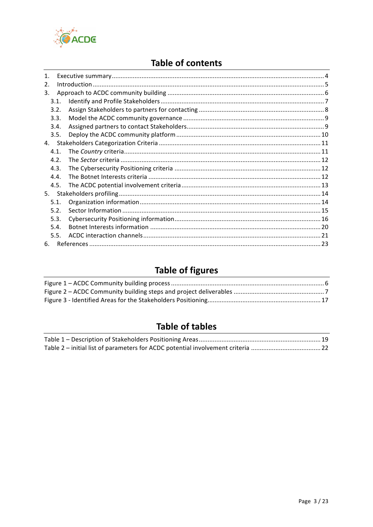

# **Table of contents**

| 1 <sub>1</sub> |                  |  |
|----------------|------------------|--|
| 2.             |                  |  |
| 3.             |                  |  |
|                | 3.1.             |  |
|                | 3.2.             |  |
|                | 3.3.             |  |
|                | 3.4.             |  |
|                | 3.5.             |  |
| 4.             |                  |  |
|                | 4.1.             |  |
|                | 4.2 <sub>1</sub> |  |
|                | 4.3.             |  |
|                | 4.4.             |  |
|                | 4.5.             |  |
| 5.             |                  |  |
|                | 5.1.             |  |
|                | 5.2.             |  |
|                | 5.3.             |  |
|                | 5.4.             |  |
|                | 5.5.             |  |
| 6.             |                  |  |

# **Table of figures**

# **Table of tables**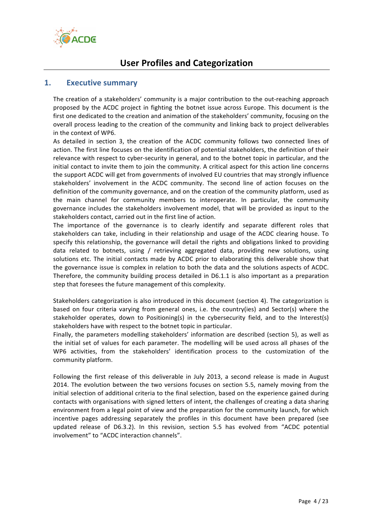

# **User Profiles and Categorization**

### **1. Executive summary**

The creation of a stakeholders' community is a major contribution to the out-reaching approach proposed by the ACDC project in fighting the botnet issue across Europe. This document is the first one dedicated to the creation and animation of the stakeholders' community, focusing on the overall process leading to the creation of the community and linking back to project deliverables in the context of WP6.

As detailed in section 3, the creation of the ACDC community follows two connected lines of action. The first line focuses on the identification of potential stakeholders, the definition of their relevance with respect to cyber-security in general, and to the botnet topic in particular, and the initial contact to invite them to join the community. A critical aspect for this action line concerns the support ACDC will get from governments of involved EU countries that may strongly influence stakeholders' involvement in the ACDC community. The second line of action focuses on the definition of the community governance, and on the creation of the community platform, used as the main channel for community members to interoperate. In particular, the community governance includes the stakeholders involvement model, that will be provided as input to the stakeholders contact, carried out in the first line of action.

The importance of the governance is to clearly identify and separate different roles that stakeholders can take, including in their relationship and usage of the ACDC clearing house. To specify this relationship, the governance will detail the rights and obligations linked to providing data related to botnets, using / retrieving aggregated data, providing new solutions, using solutions etc. The initial contacts made by ACDC prior to elaborating this deliverable show that the governance issue is complex in relation to both the data and the solutions aspects of ACDC. Therefore, the community building process detailed in D6.1.1 is also important as a preparation step that foresees the future management of this complexity.

Stakeholders categorization is also introduced in this document (section 4). The categorization is based on four criteria varying from general ones, i.e. the country(ies) and Sector(s) where the stakeholder operates, down to Positioning(s) in the cybersecurity field, and to the Interest(s) stakeholders have with respect to the botnet topic in particular.

Finally, the parameters modelling stakeholders' information are described (section 5), as well as the initial set of values for each parameter. The modelling will be used across all phases of the WP6 activities, from the stakeholders' identification process to the customization of the community platform.

Following the first release of this deliverable in July 2013, a second release is made in August 2014. The evolution between the two versions focuses on section 5.5, namely moving from the initial selection of additional criteria to the final selection, based on the experience gained during contacts with organisations with signed letters of intent, the challenges of creating a data sharing environment from a legal point of view and the preparation for the community launch, for which incentive pages addressing separately the profiles in this document have been prepared (see updated release of D6.3.2). In this revision, section 5.5 has evolved from "ACDC potential involvement" to "ACDC interaction channels".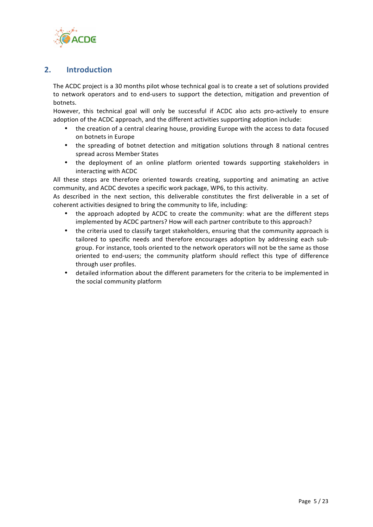

## **2. Introduction**

The ACDC project is a 30 months pilot whose technical goal is to create a set of solutions provided to network operators and to end-users to support the detection, mitigation and prevention of botnets.

However, this technical goal will only be successful if ACDC also acts pro-actively to ensure adoption of the ACDC approach, and the different activities supporting adoption include:

- the creation of a central clearing house, providing Europe with the access to data focused on botnets in Europe
- the spreading of botnet detection and mitigation solutions through 8 national centres spread across Member States
- the deployment of an online platform oriented towards supporting stakeholders in interacting with ACDC

All these steps are therefore oriented towards creating, supporting and animating an active community, and ACDC devotes a specific work package, WP6, to this activity.

As described in the next section, this deliverable constitutes the first deliverable in a set of coherent activities designed to bring the community to life, including:

- the approach adopted by ACDC to create the community: what are the different steps implemented by ACDC partners? How will each partner contribute to this approach?
- the criteria used to classify target stakeholders, ensuring that the community approach is tailored to specific needs and therefore encourages adoption by addressing each subgroup. For instance, tools oriented to the network operators will not be the same as those oriented to end-users; the community platform should reflect this type of difference through user profiles.
- detailed information about the different parameters for the criteria to be implemented in the social community platform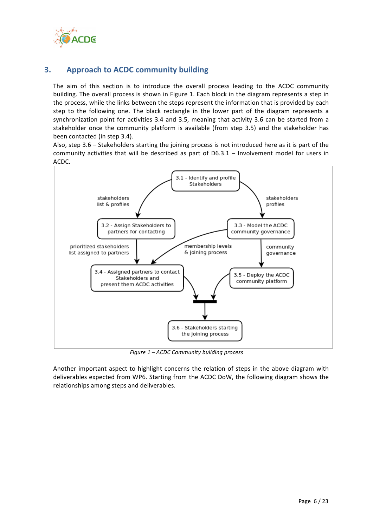

## **3. Approach to ACDC community building**

The aim of this section is to introduce the overall process leading to the ACDC community building. The overall process is shown in Figure 1. Each block in the diagram represents a step in the process, while the links between the steps represent the information that is provided by each step to the following one. The black rectangle in the lower part of the diagram represents a synchronization point for activities 3.4 and 3.5, meaning that activity 3.6 can be started from a stakeholder once the community platform is available (from step 3.5) and the stakeholder has been contacted (in step 3.4).

Also, step  $3.6 -$  Stakeholders starting the joining process is not introduced here as it is part of the community activities that will be described as part of  $D6.3.1$  – Involvement model for users in ACDC.



*Figure 1 – ACDC Community building process*

Another important aspect to highlight concerns the relation of steps in the above diagram with deliverables expected from WP6. Starting from the ACDC DoW, the following diagram shows the relationships among steps and deliverables.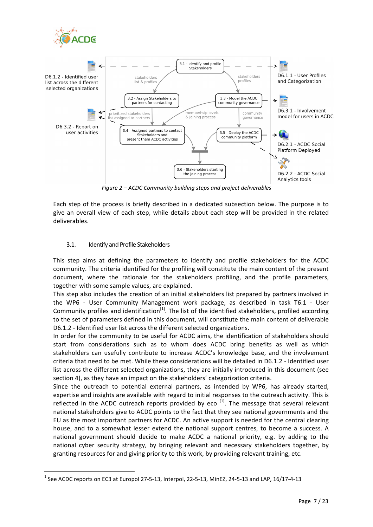

*Figure 2 – ACDC Community building steps and project deliverables*

Each step of the process is briefly described in a dedicated subsection below. The purpose is to give an overall view of each step, while details about each step will be provided in the related deliverables.

#### 3.1. Identify and Profile Stakeholders

<u> 1989 - Johann Stein, fransk politiker (d. 1989)</u>

This step aims at defining the parameters to identify and profile stakeholders for the ACDC community. The criteria identified for the profiling will constitute the main content of the present document, where the rationale for the stakeholders profiling, and the profile parameters, together with some sample values, are explained.

This step also includes the creation of an initial stakeholders list prepared by partners involved in the WP6 - User Community Management work package, as described in task T6.1 - User Community profiles and identification<sup>[1]</sup>. The list of the identified stakeholders, profiled according to the set of parameters defined in this document, will constitute the main content of deliverable D6.1.2 - Identified user list across the different selected organizations.

In order for the community to be useful for ACDC aims, the identification of stakeholders should start from considerations such as to whom does ACDC bring benefits as well as which stakeholders can usefully contribute to increase ACDC's knowledge base, and the involvement criteria that need to be met. While these considerations will be detailed in D6.1.2 - Identified user list across the different selected organizations, they are initially introduced in this document (see section 4), as they have an impact on the stakeholders' categorization criteria.

Since the outreach to potential external partners, as intended by WP6, has already started, expertise and insights are available with regard to initial responses to the outreach activity. This is reflected in the ACDC outreach reports provided by eco  $^{[1]}$ . The message that several relevant national stakeholders give to ACDC points to the fact that they see national governments and the EU as the most important partners for ACDC. An active support is needed for the central clearing house, and to a somewhat lesser extend the national support centres, to become a success. A national government should decide to make ACDC a national priority, e.g. by adding to the national cyber security strategy, by bringing relevant and necessary stakeholders together, by granting resources for and giving priority to this work, by providing relevant training, etc.

 $<sup>1</sup>$  See ACDC reports on EC3 at Europol 27-5-13, Interpol, 22-5-13, MinEZ, 24-5-13 and LAP, 16/17-4-13</sup>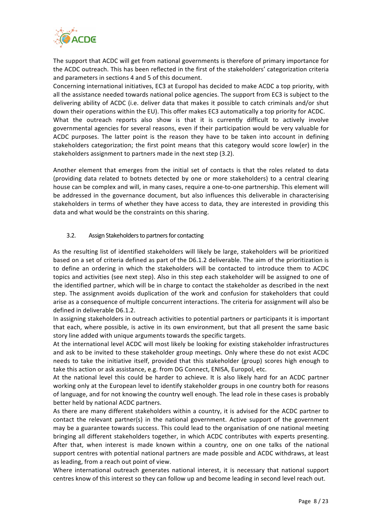

The support that ACDC will get from national governments is therefore of primary importance for the ACDC outreach. This has been reflected in the first of the stakeholders' categorization criteria and parameters in sections 4 and 5 of this document.

Concerning international initiatives, EC3 at Europol has decided to make ACDC a top priority, with all the assistance needed towards national police agencies. The support from EC3 is subject to the delivering ability of ACDC (i.e. deliver data that makes it possible to catch criminals and/or shut down their operations within the EU). This offer makes EC3 automatically a top priority for ACDC. What the outreach reports also show is that it is currently difficult to actively involve

governmental agencies for several reasons, even if their participation would be very valuable for ACDC purposes. The latter point is the reason they have to be taken into account in defining stakeholders categorization; the first point means that this category would score low(er) in the stakeholders assignment to partners made in the next step (3.2).

Another element that emerges from the initial set of contacts is that the roles related to data (providing data related to botnets detected by one or more stakeholders) to a central clearing house can be complex and will, in many cases, require a one-to-one partnership. This element will be addressed in the governance document, but also influences this deliverable in characterising stakeholders in terms of whether they have access to data, they are interested in providing this data and what would be the constraints on this sharing.

#### 3.2. Assign Stakeholders to partners for contacting

As the resulting list of identified stakeholders will likely be large, stakeholders will be prioritized based on a set of criteria defined as part of the D6.1.2 deliverable. The aim of the prioritization is to define an ordering in which the stakeholders will be contacted to introduce them to ACDC topics and activities (see next step). Also in this step each stakeholder will be assigned to one of the identified partner, which will be in charge to contact the stakeholder as described in the next step. The assignment avoids duplication of the work and confusion for stakeholders that could arise as a consequence of multiple concurrent interactions. The criteria for assignment will also be defined in deliverable D6.1.2.

In assigning stakeholders in outreach activities to potential partners or participants it is important that each, where possible, is active in its own environment, but that all present the same basic story line added with unique arguments towards the specific targets.

At the international level ACDC will most likely be looking for existing stakeholder infrastructures and ask to be invited to these stakeholder group meetings. Only where these do not exist ACDC needs to take the initiative itself, provided that this stakeholder (group) scores high enough to take this action or ask assistance, e.g. from DG Connect, ENISA, Europol, etc.

At the national level this could be harder to achieve. It is also likely hard for an ACDC partner working only at the European level to identify stakeholder groups in one country both for reasons of language, and for not knowing the country well enough. The lead role in these cases is probably better held by national ACDC partners.

As there are many different stakeholders within a country, it is advised for the ACDC partner to contact the relevant partner(s) in the national government. Active support of the government may be a guarantee towards success. This could lead to the organisation of one national meeting bringing all different stakeholders together, in which ACDC contributes with experts presenting. After that, when interest is made known within a country, one on one talks of the national support centres with potential national partners are made possible and ACDC withdraws, at least as leading, from a reach out point of view.

Where international outreach generates national interest, it is necessary that national support centres know of this interest so they can follow up and become leading in second level reach out.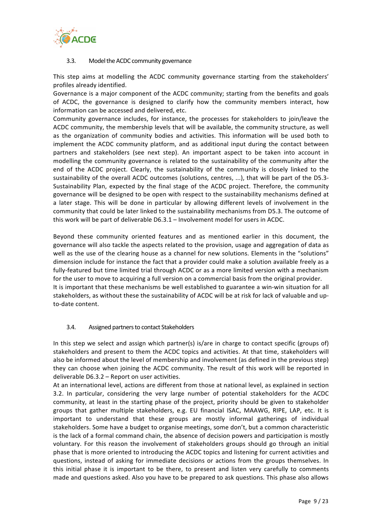

#### 3.3. Model the ACDC community governance

This step aims at modelling the ACDC community governance starting from the stakeholders' profiles already identified.

Governance is a major component of the ACDC community; starting from the benefits and goals of ACDC, the governance is designed to clarify how the community members interact, how information can be accessed and delivered, etc.

Community governance includes, for instance, the processes for stakeholders to join/leave the ACDC community, the membership levels that will be available, the community structure, as well as the organization of community bodies and activities. This information will be used both to implement the ACDC community platform, and as additional input during the contact between partners and stakeholders (see next step). An important aspect to be taken into account in modelling the community governance is related to the sustainability of the community after the end of the ACDC project. Clearly, the sustainability of the community is closely linked to the sustainability of the overall ACDC outcomes (solutions, centres, ...), that will be part of the D5.3-Sustainability Plan, expected by the final stage of the ACDC project. Therefore, the community governance will be designed to be open with respect to the sustainability mechanisms defined at a later stage. This will be done in particular by allowing different levels of involvement in the community that could be later linked to the sustainability mechanisms from D5.3. The outcome of this work will be part of deliverable  $D6.3.1$  – Involvement model for users in ACDC.

Beyond these community oriented features and as mentioned earlier in this document, the governance will also tackle the aspects related to the provision, usage and aggregation of data as well as the use of the clearing house as a channel for new solutions. Elements in the "solutions" dimension include for instance the fact that a provider could make a solution available freely as a fully-featured but time limited trial through ACDC or as a more limited version with a mechanism for the user to move to acquiring a full version on a commercial basis from the original provider. It is important that these mechanisms be well established to guarantee a win-win situation for all stakeholders, as without these the sustainability of ACDC will be at risk for lack of valuable and upto-date content.

### 3.4. Assigned partners to contact Stakeholders

In this step we select and assign which partner(s) is/are in charge to contact specific (groups of) stakeholders and present to them the ACDC topics and activities. At that time, stakeholders will also be informed about the level of membership and involvement (as defined in the previous step) they can choose when joining the ACDC community. The result of this work will be reported in deliverable  $D6.3.2$  – Report on user activities.

At an international level, actions are different from those at national level, as explained in section 3.2. In particular, considering the very large number of potential stakeholders for the ACDC community, at least in the starting phase of the project, priority should be given to stakeholder groups that gather multiple stakeholders, e.g. EU financial ISAC, MAAWG, RIPE, LAP, etc. It is important to understand that these groups are mostly informal gatherings of individual stakeholders. Some have a budget to organise meetings, some don't, but a common characteristic is the lack of a formal command chain, the absence of decision powers and participation is mostly voluntary. For this reason the involvement of stakeholders groups should go through an initial phase that is more oriented to introducing the ACDC topics and listening for current activities and questions, instead of asking for immediate decisions or actions from the groups themselves. In this initial phase it is important to be there, to present and listen very carefully to comments made and questions asked. Also you have to be prepared to ask questions. This phase also allows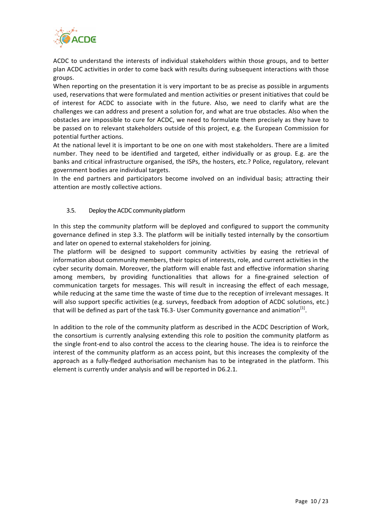

ACDC to understand the interests of individual stakeholders within those groups, and to better plan ACDC activities in order to come back with results during subsequent interactions with those groups.

When reporting on the presentation it is very important to be as precise as possible in arguments used, reservations that were formulated and mention activities or present initiatives that could be of interest for ACDC to associate with in the future. Also, we need to clarify what are the challenges we can address and present a solution for, and what are true obstacles. Also when the obstacles are impossible to cure for ACDC, we need to formulate them precisely as they have to be passed on to relevant stakeholders outside of this project, e.g. the European Commission for potential further actions.

At the national level it is important to be one on one with most stakeholders. There are a limited number. They need to be identified and targeted, either individually or as group. E.g. are the banks and critical infrastructure organised, the ISPs, the hosters, etc.? Police, regulatory, relevant government bodies are individual targets.

In the end partners and participators become involved on an individual basis; attracting their attention are mostly collective actions.

#### 3.5. Deploy the ACDC community platform

In this step the community platform will be deployed and configured to support the community governance defined in step 3.3. The platform will be initially tested internally by the consortium and later on opened to external stakeholders for joining.

The platform will be designed to support community activities by easing the retrieval of information about community members, their topics of interests, role, and current activities in the cyber security domain. Moreover, the platform will enable fast and effective information sharing among members, by providing functionalities that allows for a fine-grained selection of communication targets for messages. This will result in increasing the effect of each message, while reducing at the same time the waste of time due to the reception of irrelevant messages. It will also support specific activities (e.g. surveys, feedback from adoption of ACDC solutions, etc.) that will be defined as part of the task T6.3- User Community governance and animation<sup>[1]</sup>.

In addition to the role of the community platform as described in the ACDC Description of Work, the consortium is currently analysing extending this role to position the community platform as the single front-end to also control the access to the clearing house. The idea is to reinforce the interest of the community platform as an access point, but this increases the complexity of the approach as a fully-fledged authorisation mechanism has to be integrated in the platform. This element is currently under analysis and will be reported in D6.2.1.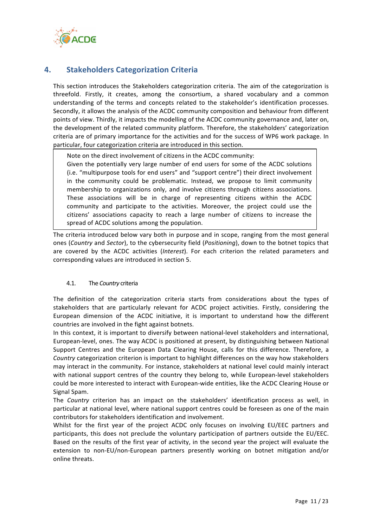

## **4. Stakeholders Categorization Criteria**

This section introduces the Stakeholders categorization criteria. The aim of the categorization is threefold. Firstly, it creates, among the consortium, a shared vocabulary and a common understanding of the terms and concepts related to the stakeholder's identification processes. Secondly, it allows the analysis of the ACDC community composition and behaviour from different points of view. Thirdly, it impacts the modelling of the ACDC community governance and, later on, the development of the related community platform. Therefore, the stakeholders' categorization criteria are of primary importance for the activities and for the success of WP6 work package. In particular, four categorization criteria are introduced in this section.

Note on the direct involvement of citizens in the ACDC community:

Given the potentially very large number of end users for some of the ACDC solutions (i.e. "multipurpose tools for end users" and "support centre") their direct involvement in the community could be problematic. Instead, we propose to limit community membership to organizations only, and involve citizens through citizens associations. These associations will be in charge of representing citizens within the ACDC community and participate to the activities. Moreover, the project could use the citizens' associations capacity to reach a large number of citizens to increase the spread of ACDC solutions among the population.

The criteria introduced below vary both in purpose and in scope, ranging from the most general ones (*Country* and *Sector*), to the cybersecurity field (*Positioning*), down to the botnet topics that are covered by the ACDC activities (*Interest*). For each criterion the related parameters and corresponding values are introduced in section 5.

#### 4.1. The *Country* criteria

The definition of the categorization criteria starts from considerations about the types of stakeholders that are particularly relevant for ACDC project activities. Firstly, considering the European dimension of the ACDC initiative, it is important to understand how the different countries are involved in the fight against botnets.

In this context, it is important to diversify between national-level stakeholders and international, European-level, ones. The way ACDC is positioned at present, by distinguishing between National Support Centres and the European Data Clearing House, calls for this difference. Therefore, a *Country* categorization criterion is important to highlight differences on the way how stakeholders may interact in the community. For instance, stakeholders at national level could mainly interact with national support centres of the country they belong to, while European-level stakeholders could be more interested to interact with European-wide entities, like the ACDC Clearing House or Signal Spam.

The *Country* criterion has an impact on the stakeholders' identification process as well, in particular at national level, where national support centres could be foreseen as one of the main contributors for stakeholders identification and involvement.

Whilst for the first year of the project ACDC only focuses on involving EU/EEC partners and participants, this does not preclude the voluntary participation of partners outside the EU/EEC. Based on the results of the first year of activity, in the second year the project will evaluate the extension to non-EU/non-European partners presently working on botnet mitigation and/or online threats.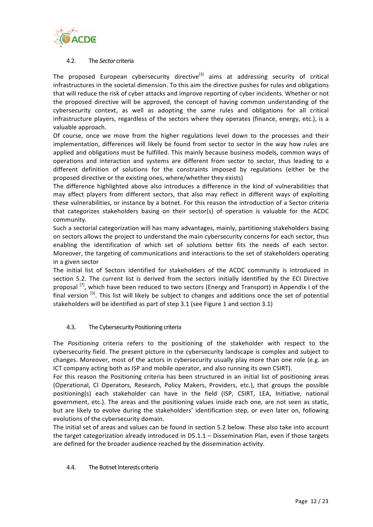

#### 4.2. The *Sector* criteria

The proposed European cybersecurity directive<sup>[3]</sup> aims at addressing security of critical infrastructures in the societal dimension. To this aim the directive pushes for rules and obligations that will reduce the risk of cyber attacks and improve reporting of cyber incidents. Whether or not the proposed directive will be approved, the concept of having common understanding of the cybersecurity context, as well as adopting the same rules and obligations for all critical infrastructure players, regardless of the sectors where they operates (finance, energy, etc.), is a valuable approach.

Of course, once we move from the higher regulations level down to the processes and their implementation, differences will likely be found from sector to sector in the way how rules are applied and obligations must be fulfilled. This mainly because business models, common ways of operations and interaction and systems are different from sector to sector, thus leading to a different definition of solutions for the constraints imposed by regulations (either be the proposed directive or the existing ones, where/whether they exists)

The difference highlighted above also introduces a difference in the kind of vulnerabilities that may affect players from different sectors, that also may reflect in different ways of exploiting these vulnerabilities, or instance by a botnet. For this reason the introduction of a Sector criteria that categorizes stakeholders basing on their sector(s) of operation is valuable for the ACDC community. 

Such a sectorial categorization will has many advantages, mainly, partitioning stakeholders basing on sectors allows the project to understand the main cybersecurity concerns for each sector, thus enabling the identification of which set of solutions better fits the needs of each sector. Moreover, the targeting of communications and interactions to the set of stakeholders operating in a given sector

The initial list of Sectors identified for stakeholders of the ACDC community is introduced in section 5.2. The current list is derived from the sectors initially identified by the ECI Directive proposal  $^{[7]}$ , which have been reduced to two sectors (Energy and Transport) in Appendix I of the final version  $\left[3\right]$ . This list will likely be subject to changes and additions once the set of potential stakeholders will be identified as part of step 3.1 (see Figure 1 and section 3.1)

### 4.3. The Cybersecurity Positioning criteria

The *Positioning* criteria refers to the positioning of the stakeholder with respect to the cybersecurity field. The present picture in the cybersecurity landscape is complex and subject to changes. Moreover, most of the actors in cybersecurity usually play more than one role (e.g. an ICT company acting both as ISP and mobile operator, and also running its own CSIRT).

For this reason the Positioning criteria has been structured in an initial list of positioning areas (Operational, CI Operators, Research, Policy Makers, Providers, etc.), that groups the possible positioning(s) each stakeholder can have in the field (ISP, CSIRT, LEA, Initiative, national government, etc.). The areas and the positioning values inside each one, are not seen as static, but are likely to evolve during the stakeholders' identification step, or even later on, following evolutions of the cybersecurity domain.

The initial set of areas and values can be found in section 5.2 below. These also take into account the target categorization already introduced in  $D5.1.1 - Discombination$  Plan, even if those targets are defined for the broader audience reached by the dissemination activity.

#### 4.4. The Botnet Interests criteria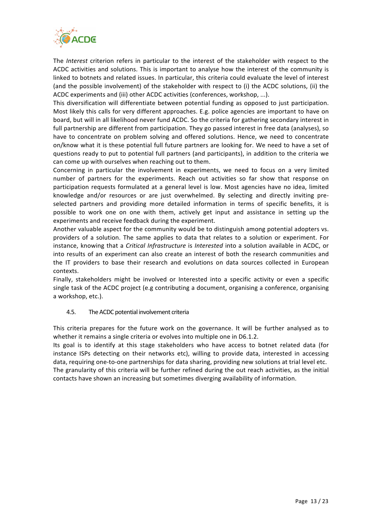

The *Interest* criterion refers in particular to the interest of the stakeholder with respect to the ACDC activities and solutions. This is important to analyse how the interest of the community is linked to botnets and related issues. In particular, this criteria could evaluate the level of interest (and the possible involvement) of the stakeholder with respect to (i) the ACDC solutions, (ii) the ACDC experiments and (iii) other ACDC activities (conferences, workshop, ...).

This diversification will differentiate between potential funding as opposed to just participation. Most likely this calls for very different approaches. E.g. police agencies are important to have on board, but will in all likelihood never fund ACDC. So the criteria for gathering secondary interest in full partnership are different from participation. They go passed interest in free data (analyses), so have to concentrate on problem solving and offered solutions. Hence, we need to concentrate on/know what it is these potential full future partners are looking for. We need to have a set of questions ready to put to potential full partners (and participants), in addition to the criteria we can come up with ourselves when reaching out to them.

Concerning in particular the involvement in experiments, we need to focus on a very limited number of partners for the experiments. Reach out activities so far show that response on participation requests formulated at a general level is low. Most agencies have no idea, limited knowledge and/or resources or are just overwhelmed. By selecting and directly inviting preselected partners and providing more detailed information in terms of specific benefits, it is possible to work one on one with them, actively get input and assistance in setting up the experiments and receive feedback during the experiment.

Another valuable aspect for the community would be to distinguish among potential adopters vs. providers of a solution. The same applies to data that relates to a solution or experiment. For instance, knowing that a *Critical Infrastructure* is *Interested* into a solution available in ACDC, or into results of an experiment can also create an interest of both the research communities and the IT providers to base their research and evolutions on data sources collected in European contexts.

Finally, stakeholders might be involved or Interested into a specific activity or even a specific single task of the ACDC project (e.g contributing a document, organising a conference, organising a workshop, etc.).

### 4.5. The ACDC potential involvement criteria

This criteria prepares for the future work on the governance. It will be further analysed as to whether it remains a single criteria or evolves into multiple one in D6.1.2.

Its goal is to identify at this stage stakeholders who have access to botnet related data (for instance ISPs detecting on their networks etc), willing to provide data, interested in accessing data, requiring one-to-one partnerships for data sharing, providing new solutions at trial level etc. The granularity of this criteria will be further refined during the out reach activities, as the initial contacts have shown an increasing but sometimes diverging availability of information.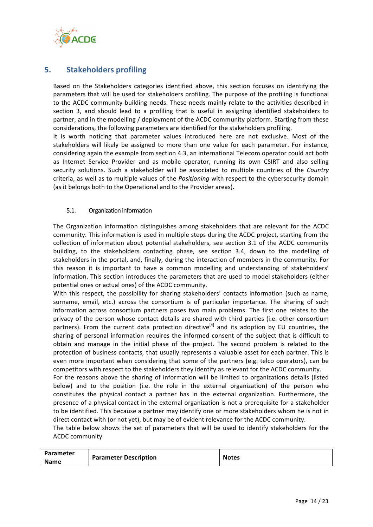

## **5.** Stakeholders profiling

Based on the Stakeholders categories identified above, this section focuses on identifying the parameters that will be used for stakeholders profiling. The purpose of the profiling is functional to the ACDC community building needs. These needs mainly relate to the activities described in section 3, and should lead to a profiling that is useful in assigning identified stakeholders to partner, and in the modelling / deployment of the ACDC community platform. Starting from these considerations, the following parameters are identified for the stakeholders profiling.

It is worth noticing that parameter values introduced here are not exclusive. Most of the stakeholders will likely be assigned to more than one value for each parameter. For instance, considering again the example from section 4.3, an international Telecom operator could act both as Internet Service Provider and as mobile operator, running its own CSIRT and also selling security solutions. Such a stakeholder will be associated to multiple countries of the *Country* criteria, as well as to multiple values of the *Positioning* with respect to the cybersecurity domain (as it belongs both to the Operational and to the Provider areas).

#### 5.1. Organization information

The Organization information distinguishes among stakeholders that are relevant for the ACDC community. This information is used in multiple steps during the ACDC project, starting from the collection of information about potential stakeholders, see section 3.1 of the ACDC community building, to the stakeholders contacting phase, see section 3.4, down to the modelling of stakeholders in the portal, and, finally, during the interaction of members in the community. For this reason it is important to have a common modelling and understanding of stakeholders' information. This section introduces the parameters that are used to model stakeholders (either potential ones or actual ones) of the ACDC community.

With this respect, the possibility for sharing stakeholders' contacts information (such as name, surname, email, etc.) across the consortium is of particular importance. The sharing of such information across consortium partners poses two main problems. The first one relates to the privacy of the person whose contact details are shared with third parties (i.e. other consortium partners). From the current data protection directive<sup>[4]</sup> and its adoption by EU countries, the sharing of personal information requires the informed consent of the subject that is difficult to obtain and manage in the initial phase of the project. The second problem is related to the protection of business contacts, that usually represents a valuable asset for each partner. This is even more important when considering that some of the partners (e.g. telco operators), can be competitors with respect to the stakeholders they identify as relevant for the ACDC community.

For the reasons above the sharing of information will be limited to organizations details (listed below) and to the position (i.e. the role in the external organization) of the person who constitutes the physical contact a partner has in the external organization. Furthermore, the presence of a physical contact in the external organization is not a prerequisite for a stakeholder to be identified. This because a partner may identify one or more stakeholders whom he is not in direct contact with (or not yet), but may be of evident relevance for the ACDC community.

The table below shows the set of parameters that will be used to identify stakeholders for the ACDC community.

| Parameter<br><b>Parameter Description</b><br><b>Name</b> | <b>Notes</b> |
|----------------------------------------------------------|--------------|
|----------------------------------------------------------|--------------|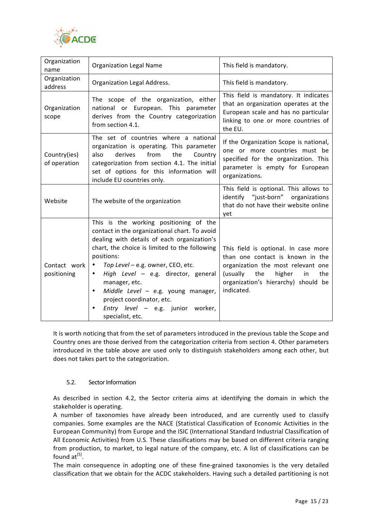

| Organization<br>name         | <b>Organization Legal Name</b>                                                                                                                                                                                                                                                                                                                                                                                                                           | This field is mandatory.                                                                                                                                                                                      |
|------------------------------|----------------------------------------------------------------------------------------------------------------------------------------------------------------------------------------------------------------------------------------------------------------------------------------------------------------------------------------------------------------------------------------------------------------------------------------------------------|---------------------------------------------------------------------------------------------------------------------------------------------------------------------------------------------------------------|
| Organization<br>address      | Organization Legal Address.                                                                                                                                                                                                                                                                                                                                                                                                                              | This field is mandatory.                                                                                                                                                                                      |
| Organization<br>scope        | The scope of the organization, either<br>national or European. This parameter<br>derives from the Country categorization<br>from section 4.1.                                                                                                                                                                                                                                                                                                            | This field is mandatory. It indicates<br>that an organization operates at the<br>European scale and has no particular<br>linking to one or more countries of<br>the EU.                                       |
| Country(ies)<br>of operation | The set of countries where a national<br>organization is operating. This parameter<br>derives<br>from<br>the<br>also<br>Country<br>categorization from section 4.1. The initial<br>set of options for this information will<br>include EU countries only.                                                                                                                                                                                                | If the Organization Scope is national,<br>one or more countries must be<br>specified for the organization. This<br>parameter is empty for European<br>organizations.                                          |
| Website                      | The website of the organization                                                                                                                                                                                                                                                                                                                                                                                                                          | This field is optional. This allows to<br>identify "just-born" organizations<br>that do not have their website online<br>yet                                                                                  |
| Contact work<br>positioning  | This is the working positioning of the<br>contact in the organizational chart. To avoid<br>dealing with details of each organization's<br>chart, the choice is limited to the following<br>positions:<br>Top Level - e.g. owner, CEO, etc.<br>$\bullet$<br>High Level - e.g. director, general<br>manager, etc.<br>Middle Level - e.g. young manager,<br>$\bullet$<br>project coordinator, etc.<br>Entry level - e.g. junior worker,<br>specialist, etc. | This field is optional. In case more<br>than one contact is known in the<br>organization the most relevant one<br>(usually<br>the<br>higher<br>the<br>in<br>organization's hierarchy) should be<br>indicated. |

It is worth noticing that from the set of parameters introduced in the previous table the Scope and Country ones are those derived from the categorization criteria from section 4. Other parameters introduced in the table above are used only to distinguish stakeholders among each other, but does not takes part to the categorization.

#### 5.2. Sector Information

As described in section 4.2, the Sector criteria aims at identifying the domain in which the stakeholder is operating.

A number of taxonomies have already been introduced, and are currently used to classify companies. Some examples are the NACE (Statistical Classification of Economic Activities in the European Community) from Europe and the ISIC (International Standard Industrial Classification of All Economic Activities) from U.S. These classifications may be based on different criteria ranging from production, to market, to legal nature of the company, etc. A list of classifications can be found  $at^{[5]}$ .

The main consequence in adopting one of these fine-grained taxonomies is the very detailed classification that we obtain for the ACDC stakeholders. Having such a detailed partitioning is not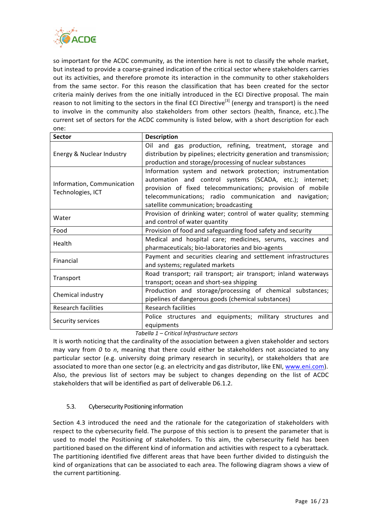

so important for the ACDC community, as the intention here is not to classify the whole market, but instead to provide a coarse-grained indication of the critical sector where stakeholders carries out its activities, and therefore promote its interaction in the community to other stakeholders from the same sector. For this reason the classification that has been created for the sector criteria mainly derives from the one initially introduced in the ECI Directive proposal. The main reason to not limiting to the sectors in the final ECI Directive<sup>[3]</sup> (energy and transport) is the need to involve in the community also stakeholders from other sectors (health, finance, etc.).The current set of sectors for the ACDC community is listed below, with a short description for each one:

| <b>Sector</b>              | <b>Description</b>                                                                                                                                                                  |  |
|----------------------------|-------------------------------------------------------------------------------------------------------------------------------------------------------------------------------------|--|
| Energy & Nuclear Industry  | Oil and gas production, refining, treatment, storage and<br>distribution by pipelines; electricity generation and transmission;                                                     |  |
|                            | production and storage/processing of nuclear substances                                                                                                                             |  |
| Information, Communication | Information system and network protection; instrumentation<br>automation and control systems (SCADA, etc.); internet;<br>provision of fixed telecommunications; provision of mobile |  |
| Technologies, ICT          | telecommunications; radio communication and navigation;                                                                                                                             |  |
|                            | satellite communication; broadcasting                                                                                                                                               |  |
| Water                      | Provision of drinking water; control of water quality; stemming                                                                                                                     |  |
|                            | and control of water quantity                                                                                                                                                       |  |
| Food                       | Provision of food and safeguarding food safety and security                                                                                                                         |  |
| Health                     | Medical and hospital care; medicines, serums, vaccines and<br>pharmaceuticals; bio-laboratories and bio-agents                                                                      |  |
| Financial                  | Payment and securities clearing and settlement infrastructures<br>and systems; regulated markets                                                                                    |  |
| Transport                  | Road transport; rail transport; air transport; inland waterways<br>transport; ocean and short-sea shipping                                                                          |  |
| Chemical industry          | Production and storage/processing of chemical substances;<br>pipelines of dangerous goods (chemical substances)                                                                     |  |
| Research facilities        | <b>Research facilities</b>                                                                                                                                                          |  |
| Security services          | Police structures and equipments; military structures and<br>equipments                                                                                                             |  |

#### *Tabella 1 – Critical Infrastructure sectors*

It is worth noticing that the cardinality of the association between a given stakeholder and sectors may vary from 0 to n, meaning that there could either be stakeholders not associated to any particular sector (e.g. university doing primary research in security), or stakeholders that are associated to more than one sector (e.g. an electricity and gas distributor, like ENI, www.eni.com). Also, the previous list of sectors may be subject to changes depending on the list of ACDC stakeholders that will be identified as part of deliverable D6.1.2.

### 5.3. Cybersecurity Positioning information

Section 4.3 introduced the need and the rationale for the categorization of stakeholders with respect to the cybersecurity field. The purpose of this section is to present the parameter that is used to model the Positioning of stakeholders. To this aim, the cybersecurity field has been partitioned based on the different kind of information and activities with respect to a cyberattack. The partitioning identified five different areas that have been further divided to distinguish the kind of organizations that can be associated to each area. The following diagram shows a view of the current partitioning.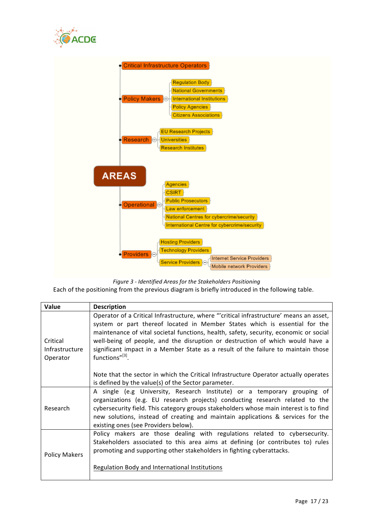



*Figure 3 - Identified Areas for the Stakeholders Positioning*

Each of the positioning from the previous diagram is briefly introduced in the following table.

| <b>Value</b>                           | <b>Description</b>                                                                                                                                                                                                                                                                                                                                                                                                                                     |
|----------------------------------------|--------------------------------------------------------------------------------------------------------------------------------------------------------------------------------------------------------------------------------------------------------------------------------------------------------------------------------------------------------------------------------------------------------------------------------------------------------|
| Critical<br>Infrastructure<br>Operator | Operator of a Critical Infrastructure, where "'critical infrastructure' means an asset,<br>system or part thereof located in Member States which is essential for the<br>maintenance of vital societal functions, health, safety, security, economic or social<br>well-being of people, and the disruption or destruction of which would have a<br>significant impact in a Member State as a result of the failure to maintain those<br>functions"[3]. |
|                                        | Note that the sector in which the Critical Infrastructure Operator actually operates<br>is defined by the value(s) of the Sector parameter.                                                                                                                                                                                                                                                                                                            |
| Research                               | A single (e.g University, Research Institute) or a temporary grouping of<br>organizations (e.g. EU research projects) conducting research related to the<br>cybersecurity field. This category groups stakeholders whose main interest is to find<br>new solutions, instead of creating and maintain applications & services for the<br>existing ones (see Providers below).                                                                           |
| <b>Policy Makers</b>                   | Policy makers are those dealing with regulations related to cybersecurity.<br>Stakeholders associated to this area aims at defining (or contributes to) rules<br>promoting and supporting other stakeholders in fighting cyberattacks.<br>Regulation Body and International Institutions                                                                                                                                                               |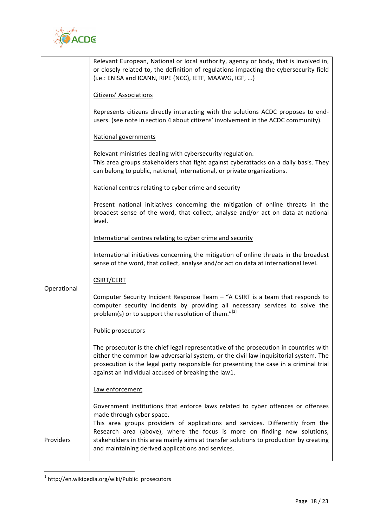

|             | Relevant European, National or local authority, agency or body, that is involved in,<br>or closely related to, the definition of regulations impacting the cybersecurity field<br>(i.e.: ENISA and ICANN, RIPE (NCC), IETF, MAAWG, IGF, )                                                                                      |
|-------------|--------------------------------------------------------------------------------------------------------------------------------------------------------------------------------------------------------------------------------------------------------------------------------------------------------------------------------|
|             | <b>Citizens' Associations</b>                                                                                                                                                                                                                                                                                                  |
|             | Represents citizens directly interacting with the solutions ACDC proposes to end-<br>users. (see note in section 4 about citizens' involvement in the ACDC community).                                                                                                                                                         |
|             | <b>National governments</b>                                                                                                                                                                                                                                                                                                    |
|             | Relevant ministries dealing with cybersecurity regulation.                                                                                                                                                                                                                                                                     |
|             | This area groups stakeholders that fight against cyberattacks on a daily basis. They<br>can belong to public, national, international, or private organizations.                                                                                                                                                               |
|             | National centres relating to cyber crime and security                                                                                                                                                                                                                                                                          |
|             | Present national initiatives concerning the mitigation of online threats in the<br>broadest sense of the word, that collect, analyse and/or act on data at national<br>level.                                                                                                                                                  |
|             | International centres relating to cyber crime and security                                                                                                                                                                                                                                                                     |
|             | International initiatives concerning the mitigation of online threats in the broadest<br>sense of the word, that collect, analyse and/or act on data at international level.                                                                                                                                                   |
|             | <b>CSIRT/CERT</b>                                                                                                                                                                                                                                                                                                              |
| Operational | Computer Security Incident Response Team - "A CSIRT is a team that responds to<br>computer security incidents by providing all necessary services to solve the<br>problem(s) or to support the resolution of them."[2]                                                                                                         |
|             | Public prosecutors                                                                                                                                                                                                                                                                                                             |
|             | The prosecutor is the chief legal representative of the prosecution in countries with<br>either the common law adversarial system, or the civil law inquisitorial system. The<br>prosecution is the legal party responsible for presenting the case in a criminal trial<br>against an individual accused of breaking the law1. |
|             | Law enforcement                                                                                                                                                                                                                                                                                                                |
|             | Government institutions that enforce laws related to cyber offences or offenses<br>made through cyber space.                                                                                                                                                                                                                   |
| Providers   | This area groups providers of applications and services. Differently from the<br>Research area (above), where the focus is more on finding new solutions,<br>stakeholders in this area mainly aims at transfer solutions to production by creating<br>and maintaining derived applications and services.                       |

 $1$  http://en.wikipedia.org/wiki/Public\_prosecutors

<u> 1989 - Johann Stein, fransk politiker (d. 1989)</u>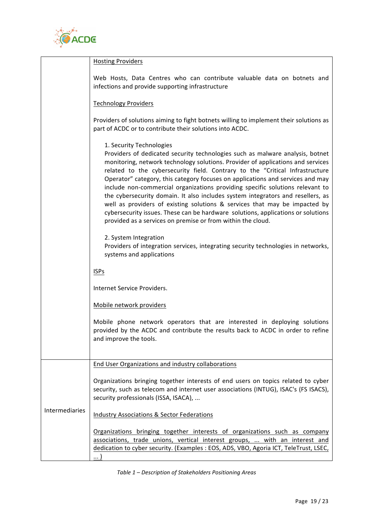

|                | <b>Hosting Providers</b>                                                                                                                                                                                                                                                                                                                                                                                                                                                                                                                                                                                                                                                                                                                                            |  |  |  |
|----------------|---------------------------------------------------------------------------------------------------------------------------------------------------------------------------------------------------------------------------------------------------------------------------------------------------------------------------------------------------------------------------------------------------------------------------------------------------------------------------------------------------------------------------------------------------------------------------------------------------------------------------------------------------------------------------------------------------------------------------------------------------------------------|--|--|--|
|                | Web Hosts, Data Centres who can contribute valuable data on botnets and<br>infections and provide supporting infrastructure                                                                                                                                                                                                                                                                                                                                                                                                                                                                                                                                                                                                                                         |  |  |  |
|                | <b>Technology Providers</b>                                                                                                                                                                                                                                                                                                                                                                                                                                                                                                                                                                                                                                                                                                                                         |  |  |  |
|                | Providers of solutions aiming to fight botnets willing to implement their solutions as<br>part of ACDC or to contribute their solutions into ACDC.                                                                                                                                                                                                                                                                                                                                                                                                                                                                                                                                                                                                                  |  |  |  |
|                | 1. Security Technologies<br>Providers of dedicated security technologies such as malware analysis, botnet<br>monitoring, network technology solutions. Provider of applications and services<br>related to the cybersecurity field. Contrary to the "Critical Infrastructure<br>Operator" category, this category focuses on applications and services and may<br>include non-commercial organizations providing specific solutions relevant to<br>the cybersecurity domain. It also includes system integrators and resellers, as<br>well as providers of existing solutions & services that may be impacted by<br>cybersecurity issues. These can be hardware solutions, applications or solutions<br>provided as a services on premise or from within the cloud. |  |  |  |
|                | 2. System Integration<br>Providers of integration services, integrating security technologies in networks,<br>systems and applications                                                                                                                                                                                                                                                                                                                                                                                                                                                                                                                                                                                                                              |  |  |  |
|                | <b>ISPs</b><br>Internet Service Providers.                                                                                                                                                                                                                                                                                                                                                                                                                                                                                                                                                                                                                                                                                                                          |  |  |  |
|                |                                                                                                                                                                                                                                                                                                                                                                                                                                                                                                                                                                                                                                                                                                                                                                     |  |  |  |
|                | Mobile network providers                                                                                                                                                                                                                                                                                                                                                                                                                                                                                                                                                                                                                                                                                                                                            |  |  |  |
|                | Mobile phone network operators that are interested in deploying solutions<br>provided by the ACDC and contribute the results back to ACDC in order to refine<br>and improve the tools.                                                                                                                                                                                                                                                                                                                                                                                                                                                                                                                                                                              |  |  |  |
|                | <b>End User Organizations and industry collaborations</b>                                                                                                                                                                                                                                                                                                                                                                                                                                                                                                                                                                                                                                                                                                           |  |  |  |
|                | Organizations bringing together interests of end users on topics related to cyber<br>security, such as telecom and internet user associations (INTUG), ISAC's (FS ISACS),<br>security professionals (ISSA, ISACA),                                                                                                                                                                                                                                                                                                                                                                                                                                                                                                                                                  |  |  |  |
| Intermediaries | <b>Industry Associations &amp; Sector Federations</b>                                                                                                                                                                                                                                                                                                                                                                                                                                                                                                                                                                                                                                                                                                               |  |  |  |
|                | Organizations bringing together interests of organizations such as company<br>associations, trade unions, vertical interest groups,  with an interest and<br>dedication to cyber security. (Examples : EOS, ADS, VBO, Agoria ICT, TeleTrust, LSEC,<br>)                                                                                                                                                                                                                                                                                                                                                                                                                                                                                                             |  |  |  |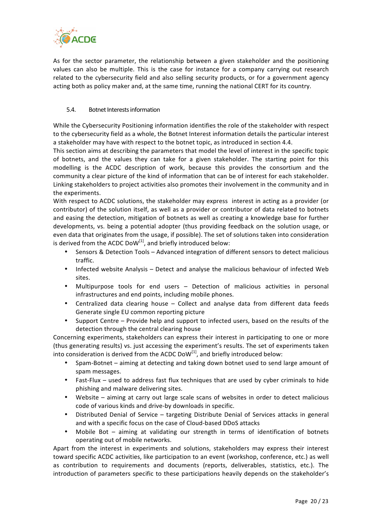

As for the sector parameter, the relationship between a given stakeholder and the positioning values can also be multiple. This is the case for instance for a company carrying out research related to the cybersecurity field and also selling security products, or for a government agency acting both as policy maker and, at the same time, running the national CERT for its country.

#### 5.4. Botnet Interests information

While the Cybersecurity Positioning information identifies the role of the stakeholder with respect to the cybersecurity field as a whole, the Botnet Interest information details the particular interest a stakeholder may have with respect to the botnet topic, as introduced in section 4.4.

This section aims at describing the parameters that model the level of interest in the specific topic of botnets, and the values they can take for a given stakeholder. The starting point for this modelling is the ACDC description of work, because this provides the consortium and the community a clear picture of the kind of information that can be of interest for each stakeholder. Linking stakeholders to project activities also promotes their involvement in the community and in the experiments.

With respect to ACDC solutions, the stakeholder may express interest in acting as a provider (or contributor) of the solution itself, as well as a provider or contributor of data related to botnets and easing the detection, mitigation of botnets as well as creating a knowledge base for further developments, vs. being a potential adopter (thus providing feedback on the solution usage, or even data that originates from the usage, if possible). The set of solutions taken into consideration is derived from the ACDC DoW<sup>[1]</sup>, and briefly introduced below:

- Sensors & Detection Tools Advanced integration of different sensors to detect malicious traffic.
- Infected website Analysis Detect and analyse the malicious behaviour of infected Web sites.
- Multipurpose tools for end users Detection of malicious activities in personal infrastructures and end points, including mobile phones.
- Centralized data clearing house Collect and analyse data from different data feeds Generate single EU common reporting picture
- Support Centre Provide help and support to infected users, based on the results of the detection through the central clearing house

Concerning experiments, stakeholders can express their interest in participating to one or more (thus generating results) vs. just accessing the experiment's results. The set of experiments taken into consideration is derived from the ACDC DoW<sup>[1]</sup>, and briefly introduced below:

- Spam-Botnet aiming at detecting and taking down botnet used to send large amount of spam messages.
- Fast-Flux used to address fast flux techniques that are used by cyber criminals to hide phishing and malware delivering sites.
- Website aiming at carry out large scale scans of websites in order to detect malicious code of various kinds and drive-by downloads in specific.
- Distributed Denial of Service targeting Distribute Denial of Services attacks in general and with a specific focus on the case of Cloud-based DDoS attacks
- Mobile Bot aiming at validating our strength in terms of identification of botnets operating out of mobile networks.

Apart from the interest in experiments and solutions, stakeholders may express their interest toward specific ACDC activities, like participation to an event (workshop, conference, etc.) as well as contribution to requirements and documents (reports, deliverables, statistics, etc.). The introduction of parameters specific to these participations heavily depends on the stakeholder's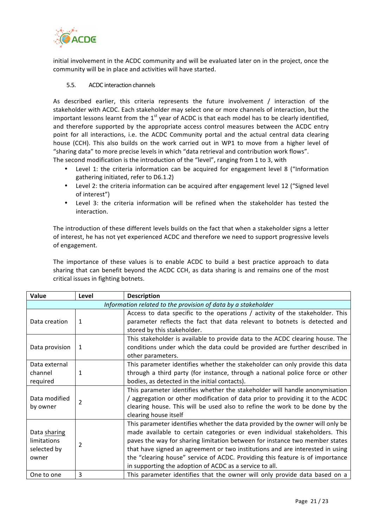

initial involvement in the ACDC community and will be evaluated later on in the project, once the community will be in place and activities will have started.

#### 5.5. ACDC interaction channels

As described earlier, this criteria represents the future involvement / interaction of the stakeholder with ACDC. Each stakeholder may select one or more channels of interaction, but the important lessons learnt from the  $1<sup>st</sup>$  year of ACDC is that each model has to be clearly identified, and therefore supported by the appropriate access control measures between the ACDC entry point for all interactions, i.e. the ACDC Community portal and the actual central data clearing house (CCH). This also builds on the work carried out in WP1 to move from a higher level of "sharing data" to more precise levels in which "data retrieval and contribution work flows".

The second modification is the introduction of the "level", ranging from 1 to 3, with

- Level 1: the criteria information can be acquired for engagement level 8 ("Information gathering initiated, refer to D6.1.2)
- Level 2: the criteria information can be acquired after engagement level 12 ("Signed level of interest")
- Level 3: the criteria information will be refined when the stakeholder has tested the interaction.

The introduction of these different levels builds on the fact that when a stakeholder signs a letter of interest, he has not vet experienced ACDC and therefore we need to support progressive levels of engagement.

The importance of these values is to enable ACDC to build a best practice approach to data sharing that can benefit beyond the ACDC CCH, as data sharing is and remains one of the most critical issues in fighting botnets.

| Value                                                         | Level          | <b>Description</b>                                                                                                                                                                                                                                                                                                                                                                                                                                                      |  |  |
|---------------------------------------------------------------|----------------|-------------------------------------------------------------------------------------------------------------------------------------------------------------------------------------------------------------------------------------------------------------------------------------------------------------------------------------------------------------------------------------------------------------------------------------------------------------------------|--|--|
| Information related to the provision of data by a stakeholder |                |                                                                                                                                                                                                                                                                                                                                                                                                                                                                         |  |  |
| Data creation                                                 | 1              | Access to data specific to the operations / activity of the stakeholder. This<br>parameter reflects the fact that data relevant to botnets is detected and<br>stored by this stakeholder.                                                                                                                                                                                                                                                                               |  |  |
| Data provision                                                | 1              | This stakeholder is available to provide data to the ACDC clearing house. The<br>conditions under which the data could be provided are further described in<br>other parameters.                                                                                                                                                                                                                                                                                        |  |  |
| Data external<br>channel<br>required                          | 1              | This parameter identifies whether the stakeholder can only provide this data<br>through a third party (for instance, through a national police force or other<br>bodies, as detected in the initial contacts).                                                                                                                                                                                                                                                          |  |  |
| Data modified<br>by owner                                     | $\overline{2}$ | This parameter identifies whether the stakeholder will handle anonymisation<br>/ aggregation or other modification of data prior to providing it to the ACDC<br>clearing house. This will be used also to refine the work to be done by the<br>clearing house itself                                                                                                                                                                                                    |  |  |
| Data sharing<br>limitations<br>selected by<br>owner           | $\overline{2}$ | This parameter identifies whether the data provided by the owner will only be<br>made available to certain categories or even individual stakeholders. This<br>paves the way for sharing limitation between for instance two member states<br>that have signed an agreement or two institutions and are interested in using<br>the "clearing house" service of ACDC. Providing this feature is of importance<br>in supporting the adoption of ACDC as a service to all. |  |  |
| One to one                                                    | 3              | This parameter identifies that the owner will only provide data based on a                                                                                                                                                                                                                                                                                                                                                                                              |  |  |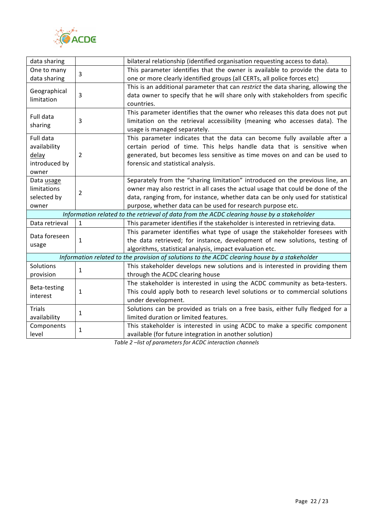

| data sharing                                                                               |                | bilateral relationship (identified organisation requesting access to data).                   |  |  |
|--------------------------------------------------------------------------------------------|----------------|-----------------------------------------------------------------------------------------------|--|--|
| One to many                                                                                | $\overline{3}$ | This parameter identifies that the owner is available to provide the data to                  |  |  |
| data sharing                                                                               |                | one or more clearly identified groups (all CERTs, all police forces etc)                      |  |  |
| Geographical<br>limitation                                                                 | 3              | This is an additional parameter that can restrict the data sharing, allowing the              |  |  |
|                                                                                            |                | data owner to specify that he will share only with stakeholders from specific                 |  |  |
|                                                                                            |                | countries.                                                                                    |  |  |
| Full data<br>sharing                                                                       | 3              | This parameter identifies that the owner who releases this data does not put                  |  |  |
|                                                                                            |                | limitation on the retrieval accessibility (meaning who accesses data). The                    |  |  |
|                                                                                            |                | usage is managed separately.                                                                  |  |  |
| Full data                                                                                  |                | This parameter indicates that the data can become fully available after a                     |  |  |
| availability                                                                               |                | certain period of time. This helps handle data that is sensitive when                         |  |  |
| delay                                                                                      | $\overline{2}$ | generated, but becomes less sensitive as time moves on and can be used to                     |  |  |
| introduced by                                                                              |                | forensic and statistical analysis.                                                            |  |  |
| owner                                                                                      |                |                                                                                               |  |  |
| Data usage                                                                                 |                | Separately from the "sharing limitation" introduced on the previous line, an                  |  |  |
| limitations                                                                                | $\overline{2}$ | owner may also restrict in all cases the actual usage that could be done of the               |  |  |
| selected by                                                                                |                | data, ranging from, for instance, whether data can be only used for statistical               |  |  |
| owner                                                                                      |                | purpose, whether data can be used for research purpose etc.                                   |  |  |
| Information related to the retrieval of data from the ACDC clearing house by a stakeholder |                |                                                                                               |  |  |
| Data retrieval                                                                             | 1              | This parameter identifies if the stakeholder is interested in retrieving data.                |  |  |
| Data foreseen                                                                              | $\mathbf{1}$   | This parameter identifies what type of usage the stakeholder foresees with                    |  |  |
| usage                                                                                      |                | the data retrieved; for instance, development of new solutions, testing of                    |  |  |
|                                                                                            |                | algorithms, statistical analysis, impact evaluation etc.                                      |  |  |
|                                                                                            |                | Information related to the provision of solutions to the ACDC clearing house by a stakeholder |  |  |
| Solutions                                                                                  | 1              | This stakeholder develops new solutions and is interested in providing them                   |  |  |
| provision                                                                                  |                | through the ACDC clearing house                                                               |  |  |
| Beta-testing                                                                               | $\mathbf{1}$   | The stakeholder is interested in using the ACDC community as beta-testers.                    |  |  |
| interest                                                                                   |                | This could apply both to research level solutions or to commercial solutions                  |  |  |
|                                                                                            |                | under development.                                                                            |  |  |
| <b>Trials</b><br>availability                                                              | $\mathbf{1}$   | Solutions can be provided as trials on a free basis, either fully fledged for a               |  |  |
|                                                                                            |                | limited duration or limited features.                                                         |  |  |
| Components<br>level                                                                        | $\mathbf{1}$   | This stakeholder is interested in using ACDC to make a specific component                     |  |  |
|                                                                                            |                | available (for future integration in another solution)                                        |  |  |

Table 2 -list of parameters for ACDC interaction channels